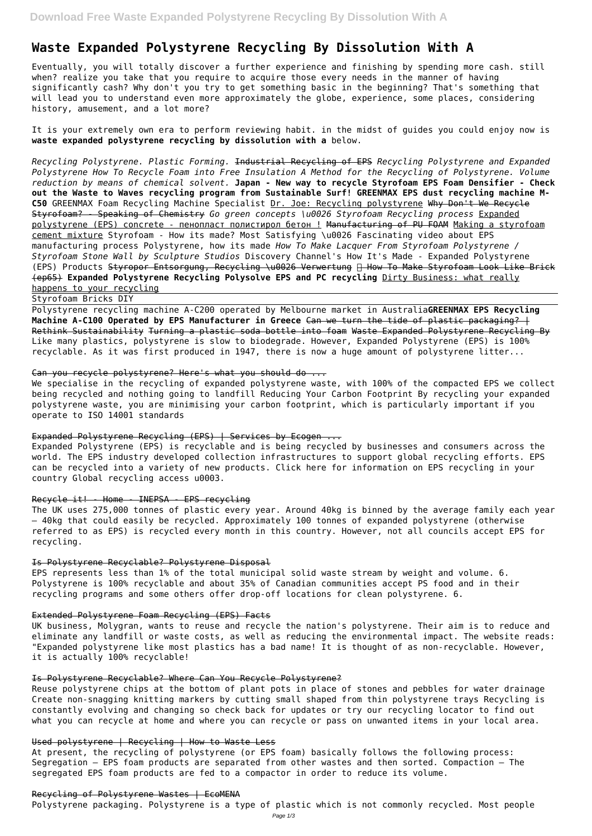# **Waste Expanded Polystyrene Recycling By Dissolution With A**

Eventually, you will totally discover a further experience and finishing by spending more cash. still when? realize you take that you require to acquire those every needs in the manner of having significantly cash? Why don't you try to get something basic in the beginning? That's something that will lead you to understand even more approximately the globe, experience, some places, considering history, amusement, and a lot more?

It is your extremely own era to perform reviewing habit. in the midst of guides you could enjoy now is **waste expanded polystyrene recycling by dissolution with a** below.

*Recycling Polystyrene. Plastic Forming.* Industrial Recycling of EPS *Recycling Polystyrene and Expanded Polystyrene How To Recycle Foam into Free Insulation A Method for the Recycling of Polystyrene. Volume reduction by means of chemical solvent.* **Japan - New way to recycle Styrofoam EPS Foam Densifier - Check out the Waste to Waves recycling program from Sustainable Surf! GREENMAX EPS dust recycling machine M-C50** GREENMAX Foam Recycling Machine Specialist Dr. Joe: Recycling polystyrene Why Don't We Recycle Styrofoam? - Speaking of Chemistry *Go green concepts \u0026 Styrofoam Recycling process* Expanded polystyrene (EPS) concrete - пенопласт полистирол бетон ! Manufacturing of PU FOAM Making a styrofoam cement mixture Styrofoam - How its made? Most Satisfying \u0026 Fascinating video about EPS manufacturing process Polystyrene, how its made *How To Make Lacquer From Styrofoam Polystyrene / Styrofoam Stone Wall by Sculpture Studios* Discovery Channel's How It's Made - Expanded Polystyrene (EPS) Products Styropor Entsorgung, Recycling \u0026 Verwertung  $\Box$  How To Make Styrofoam Look Like Brick (ep65) **Expanded Polystyrene Recycling Polysolve EPS and PC recycling** Dirty Business: what really happens to your recycling

We specialise in the recycling of expanded polystyrene waste, with 100% of the compacted EPS we collect being recycled and nothing going to landfill Reducing Your Carbon Footprint By recycling your expanded polystyrene waste, you are minimising your carbon footprint, which is particularly important if you operate to ISO 14001 standards

# Expanded Polystyrene Recycling (EPS) | Services by Ecogen ...

Styrofoam Bricks DIY

Polystyrene recycling machine A-C200 operated by Melbourne market in Australia**GREENMAX EPS Recycling Machine A-C100 Operated by EPS Manufacturer in Greece** Can we turn the tide of plastic packaging? | Rethink Sustainability Turning a plastic soda bottle into foam Waste Expanded Polystyrene Recycling By Like many plastics, polystyrene is slow to biodegrade. However, Expanded Polystyrene (EPS) is 100% recyclable. As it was first produced in 1947, there is now a huge amount of polystyrene litter...

# Can you recycle polystyrene? Here's what you should do ...

Expanded Polystyrene (EPS) is recyclable and is being recycled by businesses and consumers across the world. The EPS industry developed collection infrastructures to support global recycling efforts. EPS can be recycled into a variety of new products. Click here for information on EPS recycling in your country Global recycling access u0003.

## Recycle it! - Home - INEPSA - EPS recycling

The UK uses 275,000 tonnes of plastic every year. Around 40kg is binned by the average family each year – 40kg that could easily be recycled. Approximately 100 tonnes of expanded polystyrene (otherwise referred to as EPS) is recycled every month in this country. However, not all councils accept EPS for recycling.

# Is Polystyrene Recyclable? Polystyrene Disposal

EPS represents less than 1% of the total municipal solid waste stream by weight and volume. 6. Polystyrene is 100% recyclable and about 35% of Canadian communities accept PS food and in their recycling programs and some others offer drop-off locations for clean polystyrene. 6.

# Extended Polystyrene Foam Recycling (EPS) Facts

UK business, Molygran, wants to reuse and recycle the nation's polystyrene. Their aim is to reduce and

eliminate any landfill or waste costs, as well as reducing the environmental impact. The website reads: "Expanded polystyrene like most plastics has a bad name! It is thought of as non-recyclable. However, it is actually 100% recyclable!

## Is Polystyrene Recyclable? Where Can You Recycle Polystyrene?

Reuse polystyrene chips at the bottom of plant pots in place of stones and pebbles for water drainage Create non-snagging knitting markers by cutting small shaped from thin polystyrene trays Recycling is constantly evolving and changing so check back for updates or try our recycling locator to find out what you can recycle at home and where you can recycle or pass on unwanted items in your local area.

#### Used polystyrene | Recycling | How to Waste Less

At present, the recycling of polystyrene (or EPS foam) basically follows the following process: Segregation – EPS foam products are separated from other wastes and then sorted. Compaction – The segregated EPS foam products are fed to a compactor in order to reduce its volume.

# Recycling of Polystyrene Wastes | EcoMENA

Polystyrene packaging. Polystyrene is a type of plastic which is not commonly recycled. Most people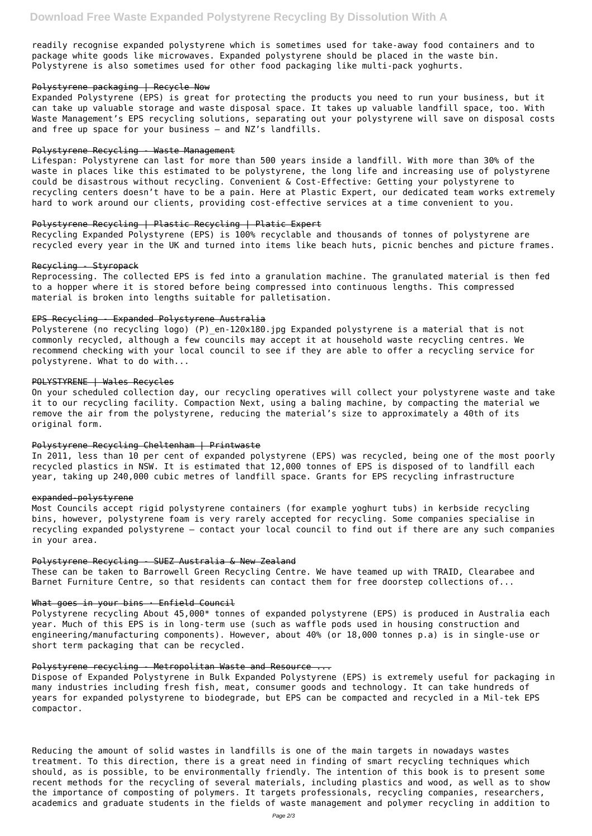readily recognise expanded polystyrene which is sometimes used for take-away food containers and to package white goods like microwaves. Expanded polystyrene should be placed in the waste bin. Polystyrene is also sometimes used for other food packaging like multi-pack yoghurts.

#### Polystyrene packaging | Recycle Now

Expanded Polystyrene (EPS) is great for protecting the products you need to run your business, but it can take up valuable storage and waste disposal space. It takes up valuable landfill space, too. With Waste Management's EPS recycling solutions, separating out your polystyrene will save on disposal costs and free up space for your business – and NZ's landfills.

#### Polystyrene Recycling - Waste Management

Lifespan: Polystyrene can last for more than 500 years inside a landfill. With more than 30% of the waste in places like this estimated to be polystyrene, the long life and increasing use of polystyrene could be disastrous without recycling. Convenient & Cost-Effective: Getting your polystyrene to recycling centers doesn't have to be a pain. Here at Plastic Expert, our dedicated team works extremely hard to work around our clients, providing cost-effective services at a time convenient to you.

Polysterene (no recycling logo) (P) en-120x180.jpg Expanded polystyrene is a material that is not commonly recycled, although a few councils may accept it at household waste recycling centres. We recommend checking with your local council to see if they are able to offer a recycling service for polystyrene. What to do with...

#### Polystyrene Recycling | Plastic Recycling | Platic Expert

Recycling Expanded Polystyrene (EPS) is 100% recyclable and thousands of tonnes of polystyrene are recycled every year in the UK and turned into items like beach huts, picnic benches and picture frames.

#### Recycling - Styropack

Reprocessing. The collected EPS is fed into a granulation machine. The granulated material is then fed to a hopper where it is stored before being compressed into continuous lengths. This compressed material is broken into lengths suitable for palletisation.

#### EPS Recycling - Expanded Polystyrene Australia

# POLYSTYRENE | Wales Recycles

On your scheduled collection day, our recycling operatives will collect your polystyrene waste and take it to our recycling facility. Compaction Next, using a baling machine, by compacting the material we remove the air from the polystyrene, reducing the material's size to approximately a 40th of its original form.

#### Polystyrene Recycling Cheltenham | Printwaste

In 2011, less than 10 per cent of expanded polystyrene (EPS) was recycled, being one of the most poorly recycled plastics in NSW. It is estimated that 12,000 tonnes of EPS is disposed of to landfill each year, taking up 240,000 cubic metres of landfill space. Grants for EPS recycling infrastructure

## expanded-polystyrene

Most Councils accept rigid polystyrene containers (for example yoghurt tubs) in kerbside recycling bins, however, polystyrene foam is very rarely accepted for recycling. Some companies specialise in recycling expanded polystyrene – contact your local council to find out if there are any such companies in your area.

## Polystyrene Recycling - SUEZ Australia & New Zealand

These can be taken to Barrowell Green Recycling Centre. We have teamed up with TRAID, Clearabee and Barnet Furniture Centre, so that residents can contact them for free doorstep collections of...

#### What goes in your bins  $\cdot$  Enfield Council

Polystyrene recycling About 45,000\* tonnes of expanded polystyrene (EPS) is produced in Australia each year. Much of this EPS is in long-term use (such as waffle pods used in housing construction and

engineering/manufacturing components). However, about 40% (or 18,000 tonnes p.a) is in single-use or short term packaging that can be recycled.

#### Polystyrene recycling - Metropolitan Waste and Resource ...

Dispose of Expanded Polystyrene in Bulk Expanded Polystyrene (EPS) is extremely useful for packaging in many industries including fresh fish, meat, consumer goods and technology. It can take hundreds of years for expanded polystyrene to biodegrade, but EPS can be compacted and recycled in a Mil-tek EPS compactor.

Reducing the amount of solid wastes in landfills is one of the main targets in nowadays wastes treatment. To this direction, there is a great need in finding of smart recycling techniques which should, as is possible, to be environmentally friendly. The intention of this book is to present some recent methods for the recycling of several materials, including plastics and wood, as well as to show the importance of composting of polymers. It targets professionals, recycling companies, researchers, academics and graduate students in the fields of waste management and polymer recycling in addition to